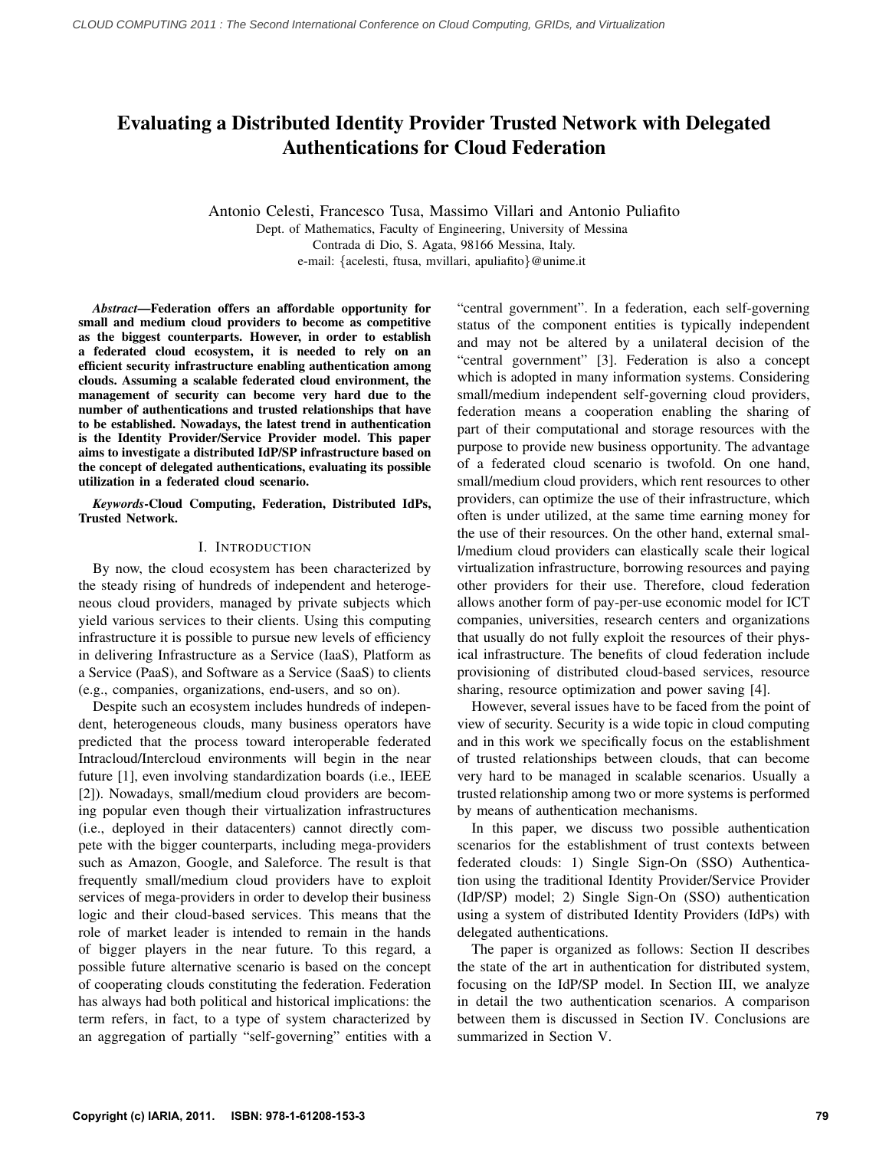# Evaluating a Distributed Identity Provider Trusted Network with Delegated Authentications for Cloud Federation

Antonio Celesti, Francesco Tusa, Massimo Villari and Antonio Puliafito Dept. of Mathematics, Faculty of Engineering, University of Messina Contrada di Dio, S. Agata, 98166 Messina, Italy. e-mail: {acelesti, ftusa, mvillari, apuliafito}@unime.it

*Abstract*—Federation offers an affordable opportunity for small and medium cloud providers to become as competitive as the biggest counterparts. However, in order to establish a federated cloud ecosystem, it is needed to rely on an efficient security infrastructure enabling authentication among clouds. Assuming a scalable federated cloud environment, the management of security can become very hard due to the number of authentications and trusted relationships that have to be established. Nowadays, the latest trend in authentication is the Identity Provider/Service Provider model. This paper aims to investigate a distributed IdP/SP infrastructure based on the concept of delegated authentications, evaluating its possible utilization in a federated cloud scenario.

*Keywords*-Cloud Computing, Federation, Distributed IdPs, Trusted Network.

# I. INTRODUCTION

By now, the cloud ecosystem has been characterized by the steady rising of hundreds of independent and heterogeneous cloud providers, managed by private subjects which yield various services to their clients. Using this computing infrastructure it is possible to pursue new levels of efficiency in delivering Infrastructure as a Service (IaaS), Platform as a Service (PaaS), and Software as a Service (SaaS) to clients (e.g., companies, organizations, end-users, and so on).

Despite such an ecosystem includes hundreds of independent, heterogeneous clouds, many business operators have predicted that the process toward interoperable federated Intracloud/Intercloud environments will begin in the near future [1], even involving standardization boards (i.e., IEEE [2]). Nowadays, small/medium cloud providers are becoming popular even though their virtualization infrastructures (i.e., deployed in their datacenters) cannot directly compete with the bigger counterparts, including mega-providers such as Amazon, Google, and Saleforce. The result is that frequently small/medium cloud providers have to exploit services of mega-providers in order to develop their business logic and their cloud-based services. This means that the role of market leader is intended to remain in the hands of bigger players in the near future. To this regard, a possible future alternative scenario is based on the concept of cooperating clouds constituting the federation. Federation has always had both political and historical implications: the term refers, in fact, to a type of system characterized by an aggregation of partially "self-governing" entities with a "central government". In a federation, each self-governing status of the component entities is typically independent and may not be altered by a unilateral decision of the "central government" [3]. Federation is also a concept which is adopted in many information systems. Considering small/medium independent self-governing cloud providers, federation means a cooperation enabling the sharing of part of their computational and storage resources with the purpose to provide new business opportunity. The advantage of a federated cloud scenario is twofold. On one hand, small/medium cloud providers, which rent resources to other providers, can optimize the use of their infrastructure, which often is under utilized, at the same time earning money for the use of their resources. On the other hand, external small/medium cloud providers can elastically scale their logical virtualization infrastructure, borrowing resources and paying other providers for their use. Therefore, cloud federation allows another form of pay-per-use economic model for ICT companies, universities, research centers and organizations that usually do not fully exploit the resources of their physical infrastructure. The benefits of cloud federation include provisioning of distributed cloud-based services, resource sharing, resource optimization and power saving [4].

However, several issues have to be faced from the point of view of security. Security is a wide topic in cloud computing and in this work we specifically focus on the establishment of trusted relationships between clouds, that can become very hard to be managed in scalable scenarios. Usually a trusted relationship among two or more systems is performed by means of authentication mechanisms.

In this paper, we discuss two possible authentication scenarios for the establishment of trust contexts between federated clouds: 1) Single Sign-On (SSO) Authentication using the traditional Identity Provider/Service Provider (IdP/SP) model; 2) Single Sign-On (SSO) authentication using a system of distributed Identity Providers (IdPs) with delegated authentications.

The paper is organized as follows: Section II describes the state of the art in authentication for distributed system, focusing on the IdP/SP model. In Section III, we analyze in detail the two authentication scenarios. A comparison between them is discussed in Section IV. Conclusions are summarized in Section V.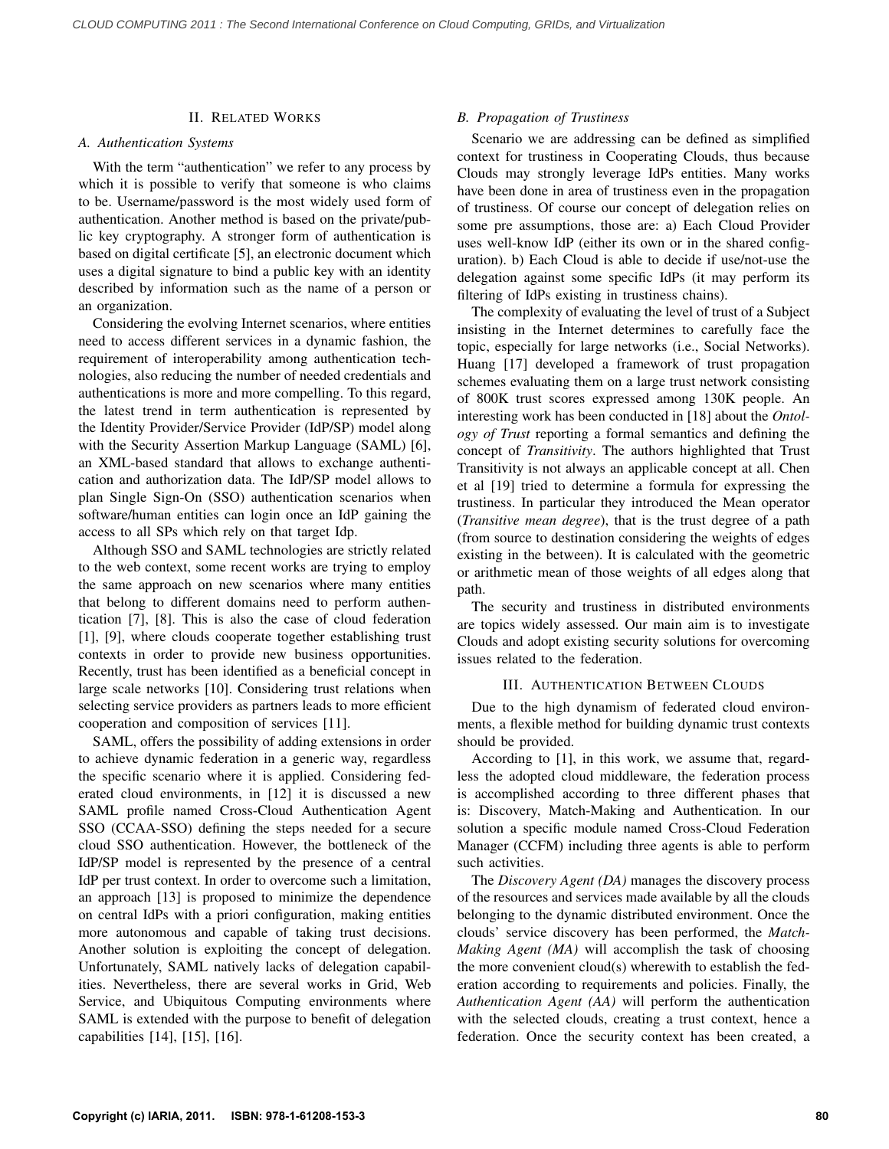# II. RELATED WORKS

# *A. Authentication Systems*

With the term "authentication" we refer to any process by which it is possible to verify that someone is who claims to be. Username/password is the most widely used form of authentication. Another method is based on the private/public key cryptography. A stronger form of authentication is based on digital certificate [5], an electronic document which uses a digital signature to bind a public key with an identity described by information such as the name of a person or an organization.

Considering the evolving Internet scenarios, where entities need to access different services in a dynamic fashion, the requirement of interoperability among authentication technologies, also reducing the number of needed credentials and authentications is more and more compelling. To this regard, the latest trend in term authentication is represented by the Identity Provider/Service Provider (IdP/SP) model along with the Security Assertion Markup Language (SAML) [6], an XML-based standard that allows to exchange authentication and authorization data. The IdP/SP model allows to plan Single Sign-On (SSO) authentication scenarios when software/human entities can login once an IdP gaining the access to all SPs which rely on that target Idp.

Although SSO and SAML technologies are strictly related to the web context, some recent works are trying to employ the same approach on new scenarios where many entities that belong to different domains need to perform authentication [7], [8]. This is also the case of cloud federation [1], [9], where clouds cooperate together establishing trust contexts in order to provide new business opportunities. Recently, trust has been identified as a beneficial concept in large scale networks [10]. Considering trust relations when selecting service providers as partners leads to more efficient cooperation and composition of services [11].

SAML, offers the possibility of adding extensions in order to achieve dynamic federation in a generic way, regardless the specific scenario where it is applied. Considering federated cloud environments, in [12] it is discussed a new SAML profile named Cross-Cloud Authentication Agent SSO (CCAA-SSO) defining the steps needed for a secure cloud SSO authentication. However, the bottleneck of the IdP/SP model is represented by the presence of a central IdP per trust context. In order to overcome such a limitation, an approach [13] is proposed to minimize the dependence on central IdPs with a priori configuration, making entities more autonomous and capable of taking trust decisions. Another solution is exploiting the concept of delegation. Unfortunately, SAML natively lacks of delegation capabilities. Nevertheless, there are several works in Grid, Web Service, and Ubiquitous Computing environments where SAML is extended with the purpose to benefit of delegation capabilities [14], [15], [16].

# *B. Propagation of Trustiness*

Scenario we are addressing can be defined as simplified context for trustiness in Cooperating Clouds, thus because Clouds may strongly leverage IdPs entities. Many works have been done in area of trustiness even in the propagation of trustiness. Of course our concept of delegation relies on some pre assumptions, those are: a) Each Cloud Provider uses well-know IdP (either its own or in the shared configuration). b) Each Cloud is able to decide if use/not-use the delegation against some specific IdPs (it may perform its filtering of IdPs existing in trustiness chains).

The complexity of evaluating the level of trust of a Subject insisting in the Internet determines to carefully face the topic, especially for large networks (i.e., Social Networks). Huang [17] developed a framework of trust propagation schemes evaluating them on a large trust network consisting of 800K trust scores expressed among 130K people. An interesting work has been conducted in [18] about the *Ontology of Trust* reporting a formal semantics and defining the concept of *Transitivity*. The authors highlighted that Trust Transitivity is not always an applicable concept at all. Chen et al [19] tried to determine a formula for expressing the trustiness. In particular they introduced the Mean operator (*Transitive mean degree*), that is the trust degree of a path (from source to destination considering the weights of edges existing in the between). It is calculated with the geometric or arithmetic mean of those weights of all edges along that path.

The security and trustiness in distributed environments are topics widely assessed. Our main aim is to investigate Clouds and adopt existing security solutions for overcoming issues related to the federation.

# III. AUTHENTICATION BETWEEN CLOUDS

Due to the high dynamism of federated cloud environments, a flexible method for building dynamic trust contexts should be provided.

According to [1], in this work, we assume that, regardless the adopted cloud middleware, the federation process is accomplished according to three different phases that is: Discovery, Match-Making and Authentication. In our solution a specific module named Cross-Cloud Federation Manager (CCFM) including three agents is able to perform such activities.

The *Discovery Agent (DA)* manages the discovery process of the resources and services made available by all the clouds belonging to the dynamic distributed environment. Once the clouds' service discovery has been performed, the *Match-Making Agent (MA)* will accomplish the task of choosing the more convenient cloud(s) wherewith to establish the federation according to requirements and policies. Finally, the *Authentication Agent (AA)* will perform the authentication with the selected clouds, creating a trust context, hence a federation. Once the security context has been created, a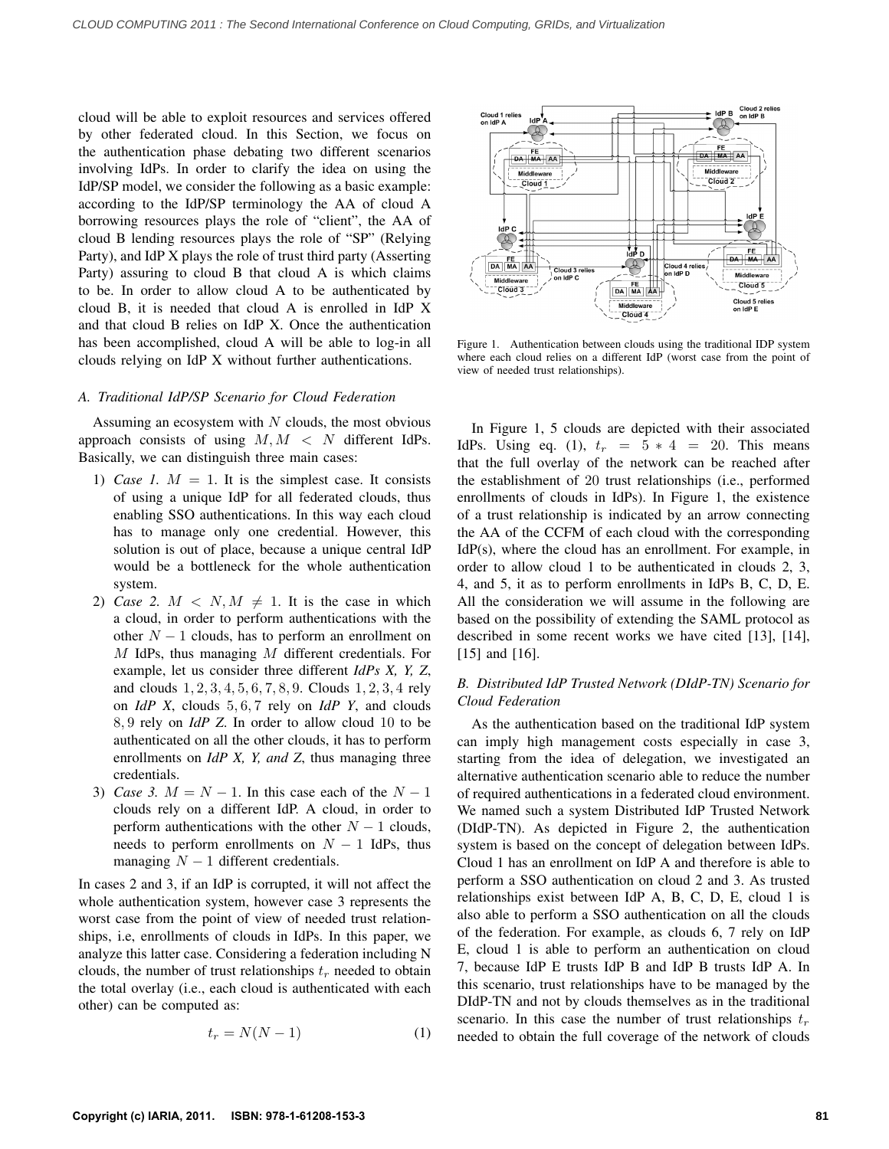cloud will be able to exploit resources and services offered by other federated cloud. In this Section, we focus on the authentication phase debating two different scenarios involving IdPs. In order to clarify the idea on using the IdP/SP model, we consider the following as a basic example: according to the IdP/SP terminology the AA of cloud A borrowing resources plays the role of "client", the AA of cloud B lending resources plays the role of "SP" (Relying Party), and IdP X plays the role of trust third party (Asserting Party) assuring to cloud B that cloud A is which claims to be. In order to allow cloud A to be authenticated by cloud B, it is needed that cloud A is enrolled in IdP X and that cloud B relies on IdP X. Once the authentication has been accomplished, cloud A will be able to log-in all clouds relying on IdP X without further authentications.

## *A. Traditional IdP/SP Scenario for Cloud Federation*

Assuming an ecosystem with  $N$  clouds, the most obvious approach consists of using  $M, M < N$  different IdPs. Basically, we can distinguish three main cases:

- 1) *Case 1.*  $M = 1$ . It is the simplest case. It consists of using a unique IdP for all federated clouds, thus enabling SSO authentications. In this way each cloud has to manage only one credential. However, this solution is out of place, because a unique central IdP would be a bottleneck for the whole authentication system.
- 2) *Case 2.*  $M \le N, M \ne 1$ . It is the case in which a cloud, in order to perform authentications with the other  $N - 1$  clouds, has to perform an enrollment on M IdPs, thus managing M different credentials. For example, let us consider three different *IdPs X, Y, Z*, and clouds 1, 2, 3, 4, 5, 6, 7, 8, 9. Clouds 1, 2, 3, 4 rely on *IdP X*, clouds 5, 6, 7 rely on *IdP Y*, and clouds 8, 9 rely on *IdP Z*. In order to allow cloud 10 to be authenticated on all the other clouds, it has to perform enrollments on *IdP X, Y, and Z*, thus managing three credentials.
- 3) *Case 3.*  $M = N 1$ . In this case each of the  $N 1$ clouds rely on a different IdP. A cloud, in order to perform authentications with the other  $N - 1$  clouds, needs to perform enrollments on  $N - 1$  IdPs, thus managing  $N - 1$  different credentials.

In cases 2 and 3, if an IdP is corrupted, it will not affect the whole authentication system, however case 3 represents the worst case from the point of view of needed trust relationships, i.e, enrollments of clouds in IdPs. In this paper, we analyze this latter case. Considering a federation including N clouds, the number of trust relationships  $t_r$  needed to obtain the total overlay (i.e., each cloud is authenticated with each other) can be computed as:

$$
t_r = N(N-1) \tag{1}
$$



Figure 1. Authentication between clouds using the traditional IDP system where each cloud relies on a different IdP (worst case from the point of view of needed trust relationships).

In Figure 1, 5 clouds are depicted with their associated IdPs. Using eq. (1),  $t_r = 5 * 4 = 20$ . This means that the full overlay of the network can be reached after the establishment of 20 trust relationships (i.e., performed enrollments of clouds in IdPs). In Figure 1, the existence of a trust relationship is indicated by an arrow connecting the AA of the CCFM of each cloud with the corresponding IdP(s), where the cloud has an enrollment. For example, in order to allow cloud 1 to be authenticated in clouds 2, 3, 4, and 5, it as to perform enrollments in IdPs B, C, D, E. All the consideration we will assume in the following are based on the possibility of extending the SAML protocol as described in some recent works we have cited [13], [14], [15] and [16].

# *B. Distributed IdP Trusted Network (DIdP-TN) Scenario for Cloud Federation*

As the authentication based on the traditional IdP system can imply high management costs especially in case 3, starting from the idea of delegation, we investigated an alternative authentication scenario able to reduce the number of required authentications in a federated cloud environment. We named such a system Distributed IdP Trusted Network (DIdP-TN). As depicted in Figure 2, the authentication system is based on the concept of delegation between IdPs. Cloud 1 has an enrollment on IdP A and therefore is able to perform a SSO authentication on cloud 2 and 3. As trusted relationships exist between IdP A, B, C, D, E, cloud 1 is also able to perform a SSO authentication on all the clouds of the federation. For example, as clouds 6, 7 rely on IdP E, cloud 1 is able to perform an authentication on cloud 7, because IdP E trusts IdP B and IdP B trusts IdP A. In this scenario, trust relationships have to be managed by the DIdP-TN and not by clouds themselves as in the traditional scenario. In this case the number of trust relationships  $t_r$ needed to obtain the full coverage of the network of clouds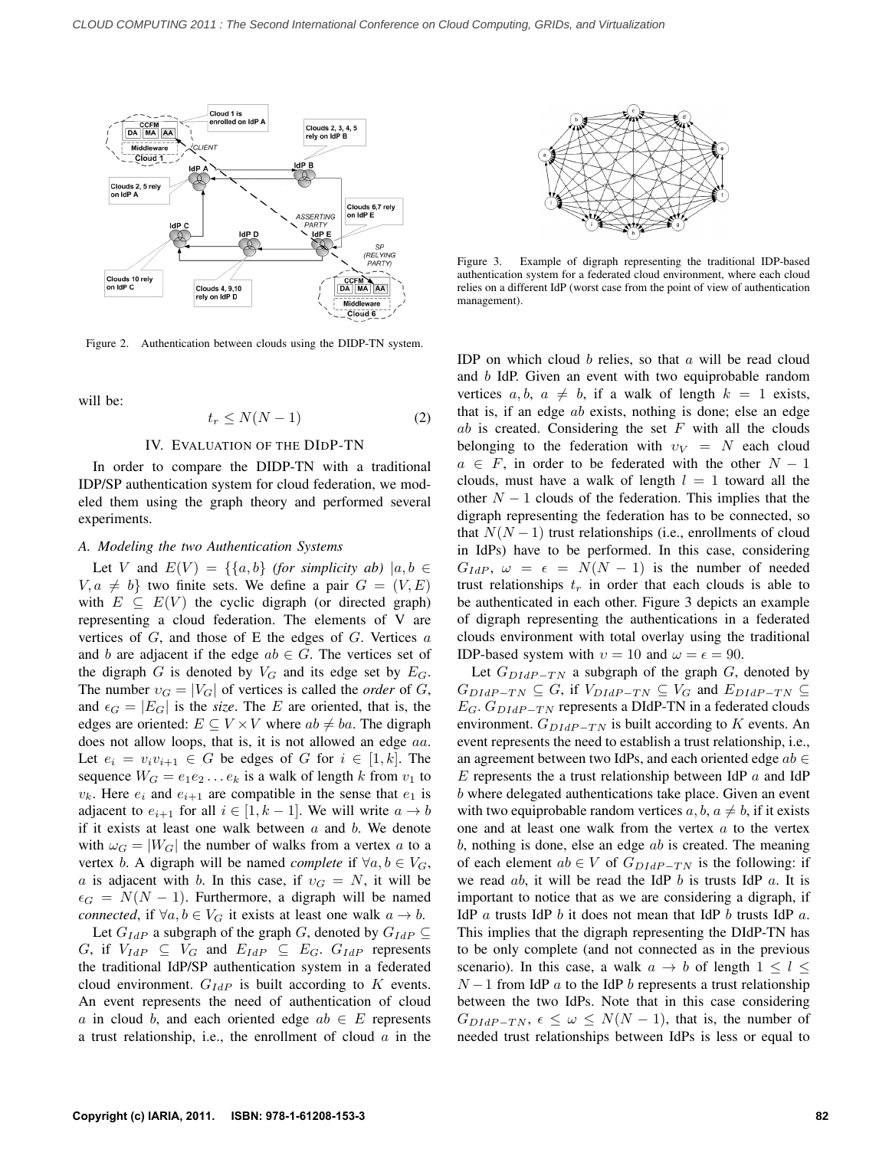

Figure 2. Authentication between clouds using the DIDP-TN system.

will be:

$$
t_r \le N(N-1) \tag{2}
$$

# IV. EVALUATION OF THE DIDP-TN

In order to compare the DIDP-TN with a traditional IDP/SP authentication system for cloud federation, we modeled them using the graph theory and performed several experiments.

#### *A. Modeling the two Authentication Systems*

Let V and  $E(V) = \{\{a, b\}$  *(for simplicity ab)*  $|a, b \in$  $V, a \neq b$  two finite sets. We define a pair  $G = (V, E)$ with  $E \subseteq E(V)$  the cyclic digraph (or directed graph) representing a cloud federation. The elements of V are vertices of  $G$ , and those of  $E$  the edges of  $G$ . Vertices  $a$ and b are adjacent if the edge  $ab \in G$ . The vertices set of the digraph G is denoted by  $V_G$  and its edge set by  $E_G$ . The number  $v_G = |V_G|$  of vertices is called the *order* of G, and  $\epsilon_G = |E_G|$  is the *size*. The E are oriented, that is, the edges are oriented:  $E \subseteq V \times V$  where  $ab \neq ba$ . The digraph does not allow loops, that is, it is not allowed an edge aa. Let  $e_i = v_i v_{i+1} \in G$  be edges of G for  $i \in [1, k]$ . The sequence  $W_G = e_1 e_2 \dots e_k$  is a walk of length k from  $v_1$  to  $v_k$ . Here  $e_i$  and  $e_{i+1}$  are compatible in the sense that  $e_1$  is adjacent to  $e_{i+1}$  for all  $i \in [1, k-1]$ . We will write  $a \to b$ if it exists at least one walk between  $a$  and  $b$ . We denote with  $\omega_G = |W_G|$  the number of walks from a vertex a to a vertex b. A digraph will be named *complete* if  $\forall a, b \in V_G$ , a is adjacent with b. In this case, if  $v<sub>G</sub> = N$ , it will be  $\epsilon_G = N(N-1)$ . Furthermore, a digraph will be named *connected*, if  $\forall a, b \in V_G$  it exists at least one walk  $a \to b$ .

Let  $G_{IdP}$  a subgraph of the graph G, denoted by  $G_{IdP} \subseteq$ G, if  $V_{IdP} \subseteq V_G$  and  $E_{IdP} \subseteq E_G$ .  $G_{IdP}$  represents the traditional IdP/SP authentication system in a federated cloud environment.  $G_{IdP}$  is built according to K events. An event represents the need of authentication of cloud a in cloud b, and each oriented edge  $ab \in E$  represents a trust relationship, i.e., the enrollment of cloud  $a$  in the



Figure 3. Example of digraph representing the traditional IDP-based authentication system for a federated cloud environment, where each cloud relies on a different IdP (worst case from the point of view of authentication management).

IDP on which cloud  $b$  relies, so that  $a$  will be read cloud and b IdP. Given an event with two equiprobable random vertices  $a, b, a \neq b$ , if a walk of length  $k = 1$  exists, that is, if an edge ab exists, nothing is done; else an edge  $ab$  is created. Considering the set  $F$  with all the clouds belonging to the federation with  $v_V = N$  each cloud  $a \in F$ , in order to be federated with the other  $N - 1$ clouds, must have a walk of length  $l = 1$  toward all the other  $N - 1$  clouds of the federation. This implies that the digraph representing the federation has to be connected, so that  $N(N-1)$  trust relationships (i.e., enrollments of cloud in IdPs) have to be performed. In this case, considering  $G_{IdP}$ ,  $\omega = \epsilon = N(N-1)$  is the number of needed trust relationships  $t_r$  in order that each clouds is able to be authenticated in each other. Figure 3 depicts an example of digraph representing the authentications in a federated clouds environment with total overlay using the traditional IDP-based system with  $v = 10$  and  $\omega = \epsilon = 90$ .

Let  $G_{DIdP-TN}$  a subgraph of the graph G, denoted by  $G_{DIdP-TN} \subseteq G$ , if  $V_{DIdP-TN} \subseteq V_G$  and  $E_{DIdP-TN} \subseteq$  $E_G$ .  $G_{DIdP-TN}$  represents a DIdP-TN in a federated clouds environment.  $G_{DIdP-TN}$  is built according to K events. An event represents the need to establish a trust relationship, i.e., an agreement between two IdPs, and each oriented edge  $ab \in$ E represents the a trust relationship between IdP  $\alpha$  and IdP b where delegated authentications take place. Given an event with two equiprobable random vertices  $a, b, a \neq b$ , if it exists one and at least one walk from the vertex  $a$  to the vertex  $b$ , nothing is done, else an edge  $ab$  is created. The meaning of each element  $ab \in V$  of  $G_{DIdP-TN}$  is the following: if we read  $ab$ , it will be read the IdP  $b$  is trusts IdP  $a$ . It is important to notice that as we are considering a digraph, if IdP  $\alpha$  trusts IdP  $\delta$  it does not mean that IdP  $\delta$  trusts IdP  $\alpha$ . This implies that the digraph representing the DIdP-TN has to be only complete (and not connected as in the previous scenario). In this case, a walk  $a \rightarrow b$  of length  $1 \leq l \leq$  $N-1$  from IdP a to the IdP b represents a trust relationship between the two IdPs. Note that in this case considering  $G_{DIdP-TN, \epsilon \leq \omega \leq N(N-1)$ , that is, the number of needed trust relationships between IdPs is less or equal to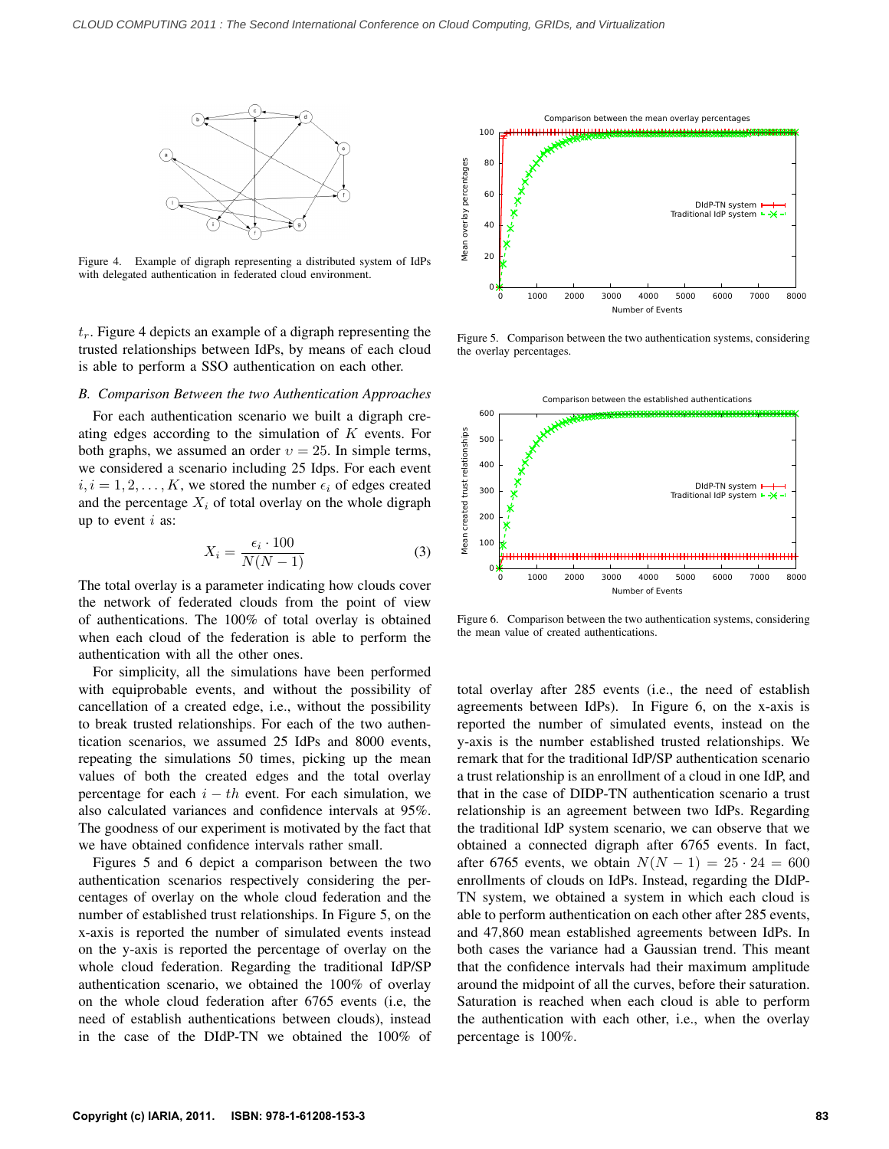

Figure 4. Example of digraph representing a distributed system of IdPs with delegated authentication in federated cloud environment.

 $t_r$ . Figure 4 depicts an example of a digraph representing the trusted relationships between IdPs, by means of each cloud is able to perform a SSO authentication on each other.

### *B. Comparison Between the two Authentication Approaches*

For each authentication scenario we built a digraph creating edges according to the simulation of K events. For both graphs, we assumed an order  $v = 25$ . In simple terms, we considered a scenario including 25 Idps. For each event  $i, i = 1, 2, \ldots, K$ , we stored the number  $\epsilon_i$  of edges created and the percentage  $X_i$  of total overlay on the whole digraph up to event  $i$  as:

$$
X_i = \frac{\epsilon_i \cdot 100}{N(N-1)}\tag{3}
$$

The total overlay is a parameter indicating how clouds cover the network of federated clouds from the point of view of authentications. The 100% of total overlay is obtained when each cloud of the federation is able to perform the authentication with all the other ones.

For simplicity, all the simulations have been performed with equiprobable events, and without the possibility of cancellation of a created edge, i.e., without the possibility to break trusted relationships. For each of the two authentication scenarios, we assumed 25 IdPs and 8000 events, repeating the simulations 50 times, picking up the mean values of both the created edges and the total overlay percentage for each  $i - th$  event. For each simulation, we also calculated variances and confidence intervals at 95%. The goodness of our experiment is motivated by the fact that we have obtained confidence intervals rather small.

Figures 5 and 6 depict a comparison between the two authentication scenarios respectively considering the percentages of overlay on the whole cloud federation and the number of established trust relationships. In Figure 5, on the x-axis is reported the number of simulated events instead on the y-axis is reported the percentage of overlay on the whole cloud federation. Regarding the traditional IdP/SP authentication scenario, we obtained the 100% of overlay on the whole cloud federation after 6765 events (i.e, the need of establish authentications between clouds), instead in the case of the DIdP-TN we obtained the 100% of



Figure 5. Comparison between the two authentication systems, considering the overlay percentages.



Figure 6. Comparison between the two authentication systems, considering the mean value of created authentications.

total overlay after 285 events (i.e., the need of establish agreements between IdPs). In Figure 6, on the x-axis is reported the number of simulated events, instead on the y-axis is the number established trusted relationships. We remark that for the traditional IdP/SP authentication scenario a trust relationship is an enrollment of a cloud in one IdP, and that in the case of DIDP-TN authentication scenario a trust relationship is an agreement between two IdPs. Regarding the traditional IdP system scenario, we can observe that we obtained a connected digraph after 6765 events. In fact, after 6765 events, we obtain  $N(N - 1) = 25 \cdot 24 = 600$ enrollments of clouds on IdPs. Instead, regarding the DIdP-TN system, we obtained a system in which each cloud is able to perform authentication on each other after 285 events, and 47,860 mean established agreements between IdPs. In both cases the variance had a Gaussian trend. This meant that the confidence intervals had their maximum amplitude around the midpoint of all the curves, before their saturation. Saturation is reached when each cloud is able to perform the authentication with each other, i.e., when the overlay percentage is 100%.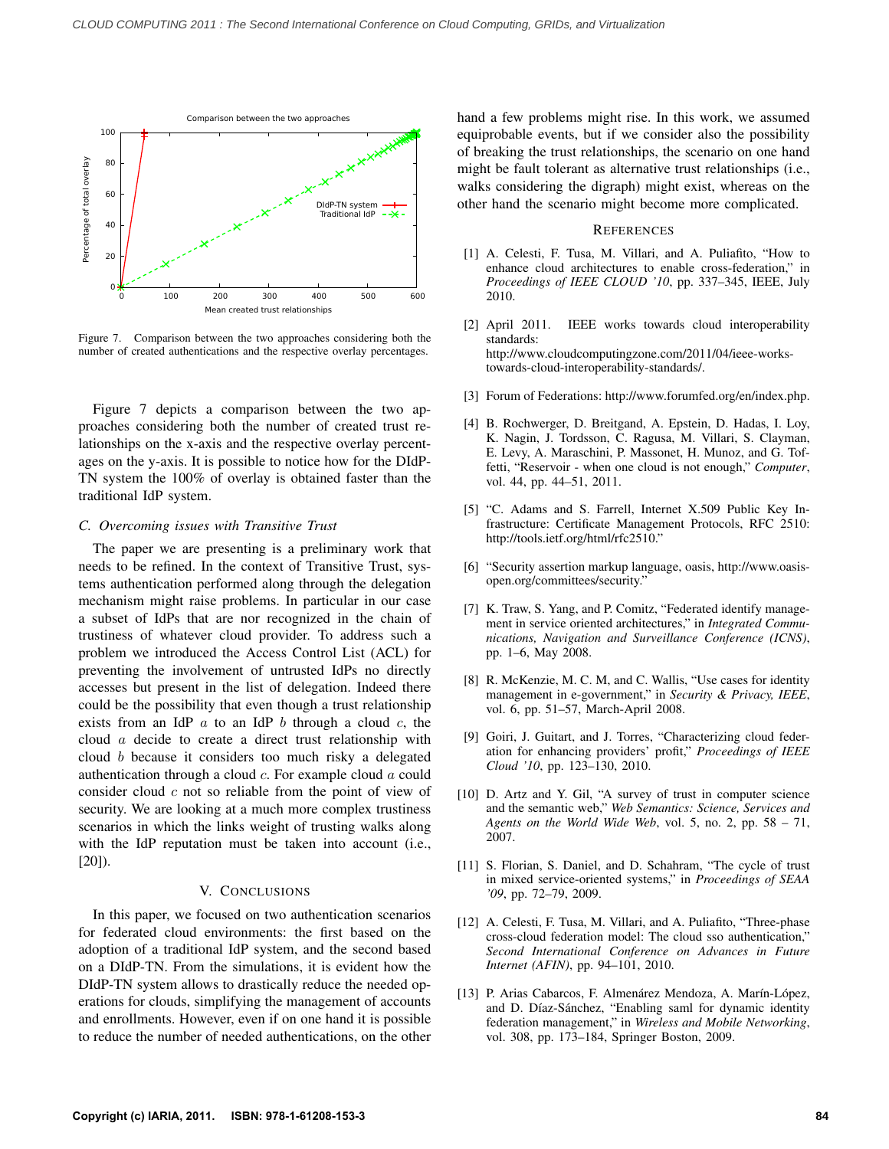

Figure 7. Comparison between the two approaches considering both the number of created authentications and the respective overlay percentages.

Figure 7 depicts a comparison between the two approaches considering both the number of created trust relationships on the x-axis and the respective overlay percentages on the y-axis. It is possible to notice how for the DIdP-TN system the 100% of overlay is obtained faster than the traditional IdP system.

# *C. Overcoming issues with Transitive Trust*

The paper we are presenting is a preliminary work that needs to be refined. In the context of Transitive Trust, systems authentication performed along through the delegation mechanism might raise problems. In particular in our case a subset of IdPs that are nor recognized in the chain of trustiness of whatever cloud provider. To address such a problem we introduced the Access Control List (ACL) for preventing the involvement of untrusted IdPs no directly accesses but present in the list of delegation. Indeed there could be the possibility that even though a trust relationship exists from an IdP  $\alpha$  to an IdP  $\delta$  through a cloud  $\alpha$ , the cloud a decide to create a direct trust relationship with cloud b because it considers too much risky a delegated authentication through a cloud c. For example cloud a could consider cloud  $c$  not so reliable from the point of view of security. We are looking at a much more complex trustiness scenarios in which the links weight of trusting walks along with the IdP reputation must be taken into account (i.e., [20]).

#### V. CONCLUSIONS

In this paper, we focused on two authentication scenarios for federated cloud environments: the first based on the adoption of a traditional IdP system, and the second based on a DIdP-TN. From the simulations, it is evident how the DIdP-TN system allows to drastically reduce the needed operations for clouds, simplifying the management of accounts and enrollments. However, even if on one hand it is possible to reduce the number of needed authentications, on the other hand a few problems might rise. In this work, we assumed equiprobable events, but if we consider also the possibility of breaking the trust relationships, the scenario on one hand might be fault tolerant as alternative trust relationships (i.e., walks considering the digraph) might exist, whereas on the other hand the scenario might become more complicated.

# **REFERENCES**

- [1] A. Celesti, F. Tusa, M. Villari, and A. Puliafito, "How to enhance cloud architectures to enable cross-federation," in *Proceedings of IEEE CLOUD '10*, pp. 337–345, IEEE, July 2010.
- [2] April 2011. IEEE works towards cloud interoperability standards: http://www.cloudcomputingzone.com/2011/04/ieee-workstowards-cloud-interoperability-standards/.
- [3] Forum of Federations: http://www.forumfed.org/en/index.php.
- [4] B. Rochwerger, D. Breitgand, A. Epstein, D. Hadas, I. Loy, K. Nagin, J. Tordsson, C. Ragusa, M. Villari, S. Clayman, E. Levy, A. Maraschini, P. Massonet, H. Munoz, and G. Toffetti, "Reservoir - when one cloud is not enough," *Computer*, vol. 44, pp. 44–51, 2011.
- [5] "C. Adams and S. Farrell, Internet X.509 Public Key Infrastructure: Certificate Management Protocols, RFC 2510: http://tools.ietf.org/html/rfc2510."
- [6] "Security assertion markup language, oasis, http://www.oasisopen.org/committees/security."
- [7] K. Traw, S. Yang, and P. Comitz, "Federated identify management in service oriented architectures," in *Integrated Communications, Navigation and Surveillance Conference (ICNS)*, pp. 1–6, May 2008.
- [8] R. McKenzie, M. C. M, and C. Wallis, "Use cases for identity management in e-government," in *Security & Privacy, IEEE*, vol. 6, pp. 51–57, March-April 2008.
- [9] Goiri, J. Guitart, and J. Torres, "Characterizing cloud federation for enhancing providers' profit," *Proceedings of IEEE Cloud '10*, pp. 123–130, 2010.
- [10] D. Artz and Y. Gil, "A survey of trust in computer science and the semantic web," *Web Semantics: Science, Services and Agents on the World Wide Web*, vol. 5, no. 2, pp. 58 – 71, 2007.
- [11] S. Florian, S. Daniel, and D. Schahram, "The cycle of trust in mixed service-oriented systems," in *Proceedings of SEAA '09*, pp. 72–79, 2009.
- [12] A. Celesti, F. Tusa, M. Villari, and A. Puliafito, "Three-phase cross-cloud federation model: The cloud sso authentication," *Second International Conference on Advances in Future Internet (AFIN)*, pp. 94–101, 2010.
- [13] P. Arias Cabarcos, F. Almenárez Mendoza, A. Marín-López, and D. Díaz-Sánchez, "Enabling saml for dynamic identity federation management," in *Wireless and Mobile Networking*, vol. 308, pp. 173–184, Springer Boston, 2009.